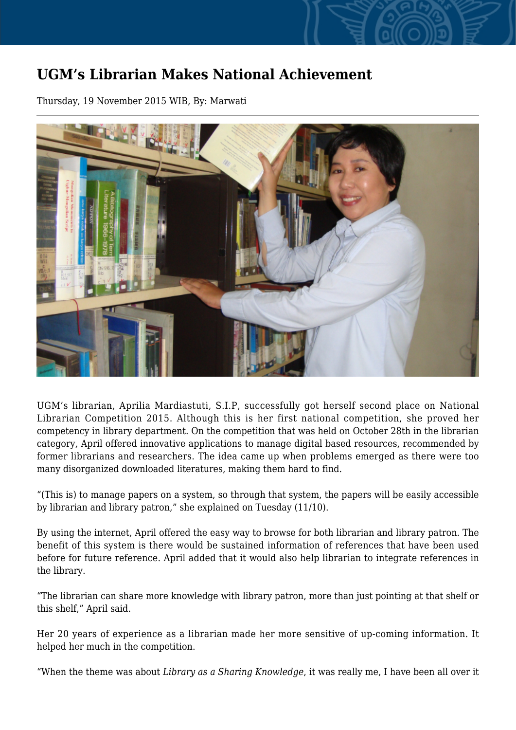## **UGM's Librarian Makes National Achievement**

Thursday, 19 November 2015 WIB, By: Marwati



UGM's librarian, Aprilia Mardiastuti, S.I.P, successfully got herself second place on National Librarian Competition 2015. Although this is her first national competition, she proved her competency in library department. On the competition that was held on October 28th in the librarian category, April offered innovative applications to manage digital based resources, recommended by former librarians and researchers. The idea came up when problems emerged as there were too many disorganized downloaded literatures, making them hard to find.

"(This is) to manage papers on a system, so through that system, the papers will be easily accessible by librarian and library patron," she explained on Tuesday (11/10).

By using the internet, April offered the easy way to browse for both librarian and library patron. The benefit of this system is there would be sustained information of references that have been used before for future reference. April added that it would also help librarian to integrate references in the library.

"The librarian can share more knowledge with library patron, more than just pointing at that shelf or this shelf," April said.

Her 20 years of experience as a librarian made her more sensitive of up-coming information. It helped her much in the competition.

"When the theme was about *Library as a Sharing Knowledge*, it was really me, I have been all over it